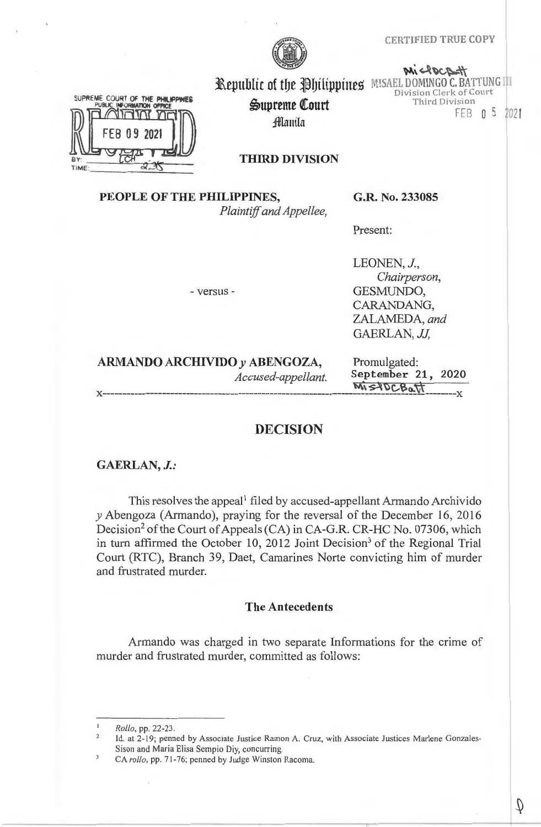### CERTIFIED TRUE COPY



Supreme Court **Manila** 

MicROCRETT Republic of the Philippines MISAEL DOMINGO C. BATTUNG III Division Clerk of Court Third Division

FEB 0 5 2021



**THIRD DIVISION** 

# **PEOPLE OF THE PHILIPPINES,**

*Plaintiff and Appellee,* 

**G .R. No. 233085** 

Present:

- versus -

LEONEN, J., *Chairperson,*  GESMUNDO, CARANDANG, ZALAMEDA, *and*  GAERLAN, *JJ,* 

# **ARMANDO ARCHIVIDO** *y* **ABENGOZA,** Promulgated:

*Accused-appellant.* **September 21, 2020**   $\overline{M}$  $S$   $POCB$ <sub>a</sub> $\overline{U}$ 

# **DECISION**

# **GAERLAN,** *J.:*

This resolves the appeal<sup>1</sup> filed by accused-appellant Armando Archivido *y* Abengoza (Armando), praying for the reversal of the December 16, 2016 Decision<sup>2</sup> of the Court of Appeals (CA) in CA-G.R. CR-HC No. 07306, which in turn affirmed the October 10, 2012 Joint Decision<sup>3</sup> of the Regional Trial Court (RTC), Branch 39, Daet, Camarines Norte convicting him of murder and frustrated murder.

# **The Antecedents**

Armando was charged in two separate Informations for the crime of murder and frustrated murder, committed as follows:

*Rollo,* pp. 22-23.

 $\overline{2}$ Id. at 2-19; penned by Associate Justice Ramon A. Cruz, with Associate Justices Marlene Gonzales-Sison and Maria Elisa Sempio Diy, concurring.

CA *rollo,* pp. 7 1-76; penned by Judge Winston Racoma.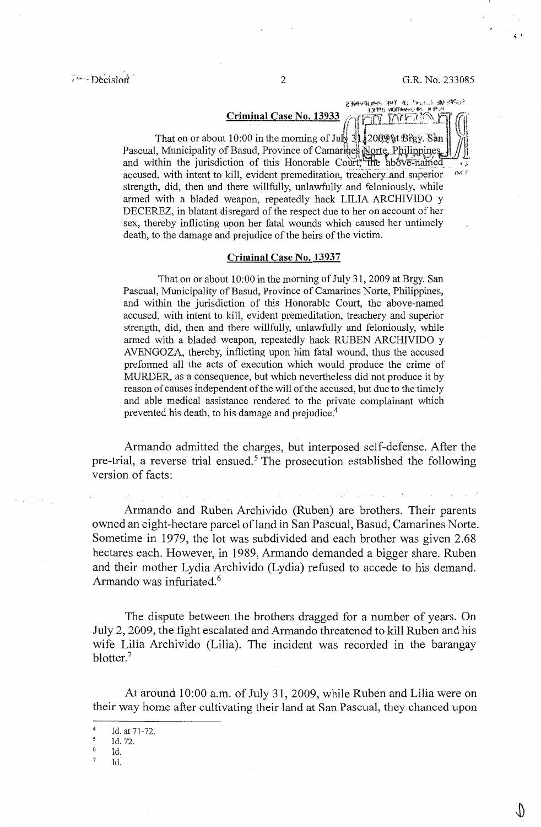$\epsilon$ 

SUPREME COURT OF THE PHILIPPINES

# **Criminal Case No. 13933** ,i•ffti(YJIFt.'.:J1'\~<sup>1</sup>**=-1** <sup>~</sup>·

That on or about 10:00 in the morning of July  $31.2009$  at Brgy. San Pascual, Municipality of Basud, Province of Camarines Norte, Philippines and within the jurisdiction of this Honorable Court; the above-named accused, with intent to kill, evident premeditation, treachery and superior iM li strength, did, then and there willfully, unlawfully and feloniously, while armed with a bladed weapon, repeatedly hack LILIA ARCHIVIDO y DECEREZ, in blatant disregard of the respect due to her on account of her sex, thereby inflicting upon her fatal wounds which caused her untimely death, to the damage and prejudice of the heirs of the victim.

### **Criminal Case No. 13937**

That on or about 10:00 in the morning of July 31, 2009 at Brgy. San Pascual, Municipality of Basud, Province of Camarines Norte, Philippines, and within the jurisdiction of this Honorable Court, the above-named accused, with intent to kill, evident premeditation, treachery and superior strength, did, then and there willfully, unlawfully and feloniously, while armed with a bladed weapon, repeatedly hack RUBEN ARCHIVIDO y AVENGOZA, thereby, inflicting upon him fatal wound, thus the accused preformed all the acts of execution which would produce the crime of MURDER, as a consequence, but which nevertheless did not produce it by reason of causes independent of the will of the accused, but due to the timely and able medical assistance rendered to the private complainant which prevented his death, to his damage and prejudice.<sup>4</sup>

Armando admitted the charges, but interposed self-defense. After the pre-trial, a reverse trial ensued.<sup>5</sup> The prosecution established the following version of facts:

Armando and Ruben Archivido (Ruben) are brothers. Their parents owned an eight-hectare parcel ofland in San Pascual, Basud, Camarines Norte. Sometime in 1979, the lot was subdivided and each brother was given 2.68 hectares each. However, in 1989, Armando demanded a bigger share. Ruben and their mother Lydia Archivido (Lydia) refused to accede to his demand. Armando was infuriated. <sup>6</sup>

The dispute between the brothers dragged for a number of years. On July 2, 2009, the fight escalated and Armando threatened to kill Ruben and his wife Lilia Archivido (Lilia). The incident was recorded in the barangay blotter.<sup>7</sup>

At around 10:00 a.m. of July 31, 2009, while Ruben and Lilia were on their way home after cultivating their land at San Pascual, they chanced upon

 $\frac{4}{5}$  Id. at 71-72.

Id. 72.

 $\frac{6}{7}$  Id.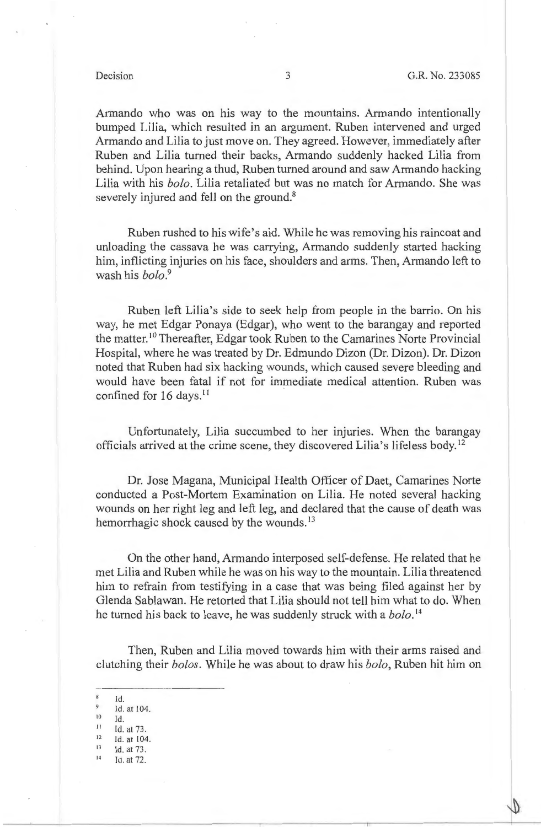Armando who was on his way to the mountains. Armando intentionally bumped Lilia, which resulted in an argument. Ruben intervened and urged Armando and Lilia to just move on. They agreed. However, immediately after Ruben and Lilia turned their backs, Armando suddenly hacked Lilia from behind. Upon hearing a thud, Ruben turned around and saw Armando hacking Lilia with his *bolo.* Lilia retaliated but was no match for Armando. She was severely injured and fell on the ground.<sup>8</sup>

Ruben rushed to his wife's aid. While he was removing his raincoat and unloading the cassava he was carrying, Armando suddenly started hacking him, inflicting injuries on his face, shoulders and arms. Then, Armando left to wash his *bolo. <sup>9</sup>*

Ruben left Lilia's side to seek help from people in the barrio. On his way, he met Edgar Ponaya (Edgar), who went to the barangay and reported the matter.<sup>10</sup> Thereafter, Edgar took Ruben to the Camarines Norte Provincial Hospital, where he was treated by Dr. Edmundo Dizon (Dr. Dizon). Dr. Dizon noted that Ruben had six hacking wounds, which caused severe bleeding and would have been fatal if not for immediate medical attention. Ruben was confined for 16 days.<sup>11</sup>

Unfortunately, Lilia succumbed to her injuries. When the barangay officials arrived at the crime scene, they discovered Lilia's lifeless body. <sup>12</sup>

Dr. Jose Magana, Municipal Health Officer of Daet, Camarines Norte conducted a Post-Mortem Examination on Lilia. He noted several hacking wounds on her right leg and left leg, and declared that the cause of death was hemorrhagic shock caused by the wounds.<sup>13</sup>

On the other hand, Armando interposed self-defense. He related that he met Lilia and Ruben while he was on his way to the mountain. Lilia threatened him to refrain from testifying in a case that was being filed against her by Glenda Sablawan. He retorted that Lilia should not tell him what to do. When he turned his back to leave, he was suddenly struck with a *bolo.* <sup>14</sup>

Then, Ruben and Lilia moved towards him with their arms raised and clutching their *bolos.* While he was about to draw his *bolo,* Ruben hit him on

- $8$ Id.
- $^{9}$  Id. at 104.
- 
- $10$  Id.<br>  $11$  Id. at 73.<br>  $12$  Id. at 104
- $12$  Id. at 104.

 $13$  Id. at 73. Id. at 72.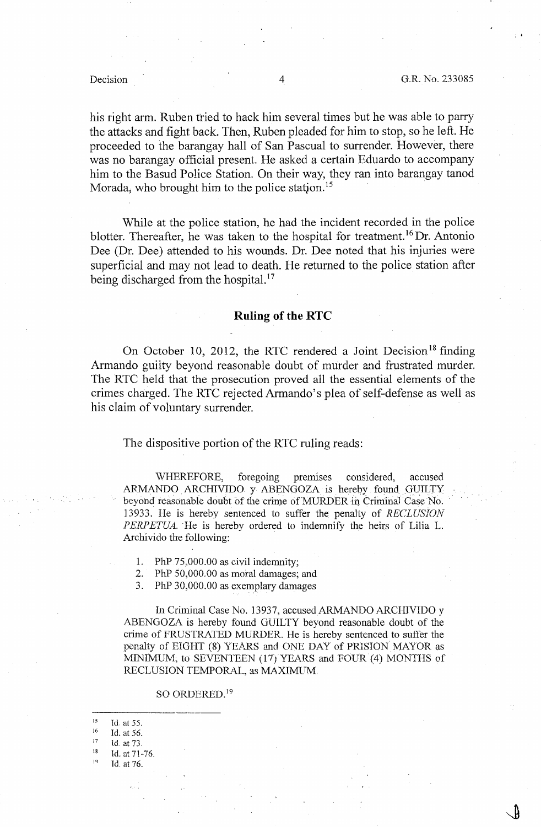his right arm. Ruben tried to hack him several times but he was able to parry the attacks and fight back. Then, Ruben pleaded for him to stop, so he left. He proceeded to the barangay hall of San Pascual to surrender. However, there was no barangay official present. He asked a certain Eduardo to accompany him to the Basud Police Station. On their way, they ran into barangay tanod Morada, who brought him to the police station.<sup>15</sup>

While at the police station, he had the incident recorded in the police blotter. Thereafter, he was taken to the hospital for treatment. 16 Dr. Antonio Dee (Dr. Dee) attended to his wounds. Dr. Dee noted that his injuries were superficial and may not lead to death. He returned to the police station after being discharged from the hospital.<sup>17</sup>

### **Ruling of the RTC**

On October 10, 2012, the RTC rendered a Joint Decision<sup>18</sup> finding Armando guilty beyond reasonable doubt of murder and frustrated murder. The RTC held that the prosecution proved all the essential elements of the crimes charged. The RTC rejected Armando's plea of self-defense as well as his claim of voluntary surrender.

### The dispositive portion of the RTC ruling reads:

WHEREFORE, foregoing premises considered, accused ARMANDO ARCHIVIDO y ABENGOZA is hereby found GUILTY beyond reasonable doubt of the crime of MURDER in Criminal Case No. 13933. He is hereby sentenced to suffer the penalty of *RECLUSION* PERPETUA. He is hereby ordered to indemnify the heirs of Lilia L. Archivido the following:

- 1. PhP  $75,000.00$  as civil indemnity;
- 2. PhP  $50,000.00$  as moral damages; and
- 3. PhP 30,000.00 as exemplary damages

In Criminal Case No. 13937, accused ARMANDO ARCHJVIDO y ABENGOZA is hereby found GUILTY beyond reasonable doubt of the crime of FRUSTRATED MURDER. He is hereby sentenced to suffer the penalty of EIGHT (8) YEARS and ONE DAY of PRISION MAYOR as MINIMUM; to SEVENTEEN (17) YEARS and FOUR (4) MONTHS of RECLUSION TEMPORAL, as MAXIMUM.

### SO ORDERED.<sup>19</sup>

| 15 | Id. at 55.    |
|----|---------------|
| 16 | Id. at 56.    |
| 17 | Id. at 73.    |
| 18 | Id. at 71-76. |
| ۱۹ | Id. at 76.    |
|    |               |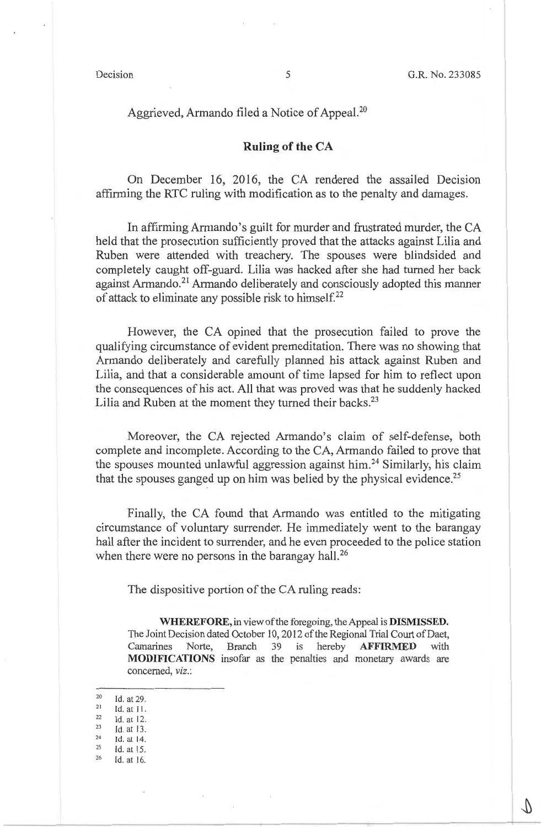## Aggrieved, Armando filed a Notice of Appeal.<sup>20</sup>

# **Ruling of the CA**

On December 16, 2016, the CA rendered the assailed Decision affirming the RTC ruling with modification as to the penalty and damages.

In affirming Armando's guilt for murder and frustrated murder, the CA held that the prosecution sufficiently proved that the attacks against Lilia and Ruben were attended with treachery. The spouses were blindsided and completely caught off-guard. Lilia was hacked after she had turned her back against Armando.<sup>21</sup> Armando deliberately and consciously adopted this manner of attack to eliminate any possible risk to himself.<sup>22</sup>

However, the CA opined that the prosecution failed to prove the qualifying circumstance of evident premeditation. There was no showing that Armando deliberately and carefully planned his attack against Ruben and Lilia, and that a considerable amount of time lapsed for him to reflect upon the consequences of his act. All that was proved was that he suddenly hacked Lilia and Ruben at the moment they turned their backs.<sup>23</sup>

Moreover, the CA rejected Armando's claim of self-defense, both complete and incomplete. According to the CA, Armando failed to prove that the spouses mounted unlawful aggression against him.<sup>24</sup> Similarly, his claim that the spouses ganged up on him was belied by the physical evidence.<sup>25</sup>

Finally, the CA found that Armando was entitled to the mitigating circumstance of voluntary surrender. He immediately went to the barangay hall after the incident to surrender, and he even proceeded to the police station when there were no persons in the barangay hall.<sup>26</sup>

The dispositive portion of the CA ruling reads:

**WHEREFORE,** in view of the foregoing, the Appeal is **DISMISSED.**  The Joint Decision dated October 10, 2012 of the Regional Trial Court of Daet, Camarines Norte, Branch 39 is hereby **AFFIRMED** with **MODIFICATIONS** insofar as the penalties and monetary awards are concerned, *viz.:* 

- 20 Id. at 29.
- $21$ Id. at 11.
- 22 23 Id. at 12.
- 24 Id. at 13.
- 25 Id. at 14. Id. at 15.
- 26 Id. at 16.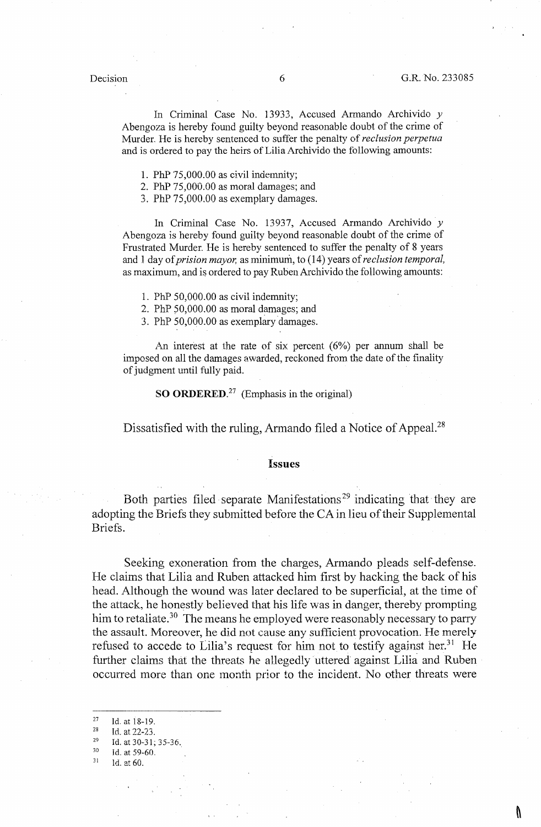In Criminal Case No. 13933, Accused Armando Archivido *y*  Abengoza is hereby found guilty beyond reasonable doubt of the crime of Murder. He is hereby sentenced to suffer the penalty of *reclusion perpetua*  and is ordered to pay the heirs of Lilia Archivido the following amounts:

1. PhP 75,000.00 as civil indemnity;

2. PhP 75,000.00 as moral damages; and

3. PhP 75,000.00 as exemplary damages.

In Criminal Case No. 13937, Accused Armando Archivido *y*  Abengoza is hereby found guilty beyond reasonable doubt of the crime of Frustrated Murder. He is hereby sentenced to suffer the penalty of 8 years and I day of *prision mayor,* as minimum, to ( 14) years of *reclusion temporal,*  as maximum, and is ordered to pay RubenArchivido the following amounts:

1. PhP 50,000.00 as civil indemnity;

2. PhP 50,000.00 as moral damages; and

3. PhP 50,000.00 as exemplary damages.

An interest at the rate of six percent  $(6\%)$  per annum shall be imposed on all the damages awarded, reckoned from the date of the finality of judgment until fully paid.

**SO ORDERED.<sup>27</sup>**(Emphasis in the original)

Dissatisfied with the ruling, Armando filed a Notice of Appeal.<sup>28</sup>

### **Issues**

Both parties filed separate Manifestations 29 indicating that they are adopting the Briefs they submitted before the CA in lieu of their Supplemental Briefs.

Seeking exoneration from the charges, Armando pleads self-defense. He claims that Lilia and Ruben attacked him first by hacking the back of his head. Although the wound was later declared to be superficial, at the time of the attack, he honestly believed that his life was in danger, thereby prompting him to retaliate.<sup>30</sup> The means he employed were reasonably necessary to parry the assault. Moreover, he did not cause any sufficient provocation. He merely refused to accede to Lilia's request for him not to testify against her.<sup>31</sup> He further claims that the threats he allegedly uttered against Lilia and Ruben occurred more than one month prior to the incident. No other threats were

<sup>27</sup>  Id. at 18-19.

<sup>28</sup>  Id. at 22-23.

<sup>29</sup>  Id. at 30-31; 35-36.

<sup>30</sup>  Id. at 59-60.

<sup>31</sup>  ld. at 60.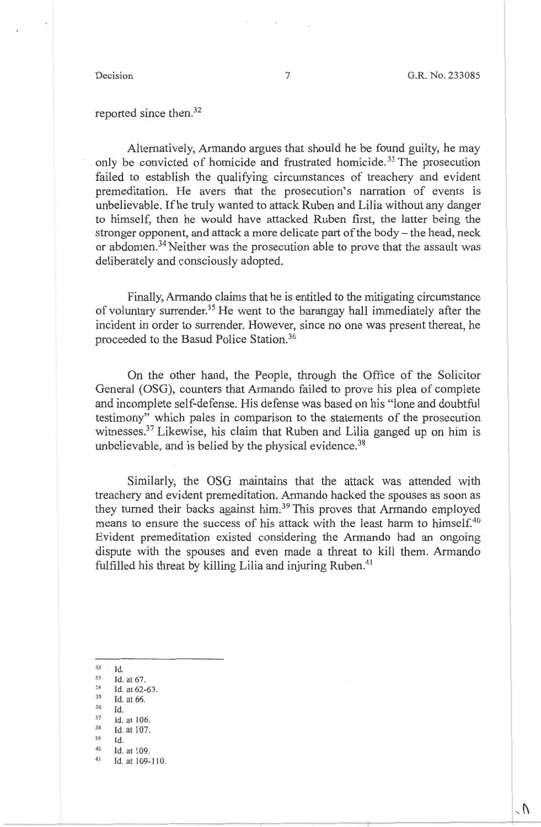reported since then. 32

Alternatively, Armando argues that should he be found guilty, he may only be convicted of homicide and frustrated homicide. 33 The prosecution failed to establish the qualifying circumstances of treachery and evident premeditation. He avers that the prosecution's narration of events is unbelievable. Ifhe truly wanted to attack Ruben and Lilia without any danger to himself, then he would have attacked Ruben first, the latter being the stronger opponent, and attack a more delicate part of the body - the head, neck or abdomen.<sup>34</sup> Neither was the prosecution able to prove that the assault was deliberately and consciously adopted.

Finally, Armando claims that he is entitled to the mitigating circumstance of voluntary surrender.<sup>35</sup> He went to the barangay hall immediately after the incident in order to surrender. However, since no one was present thereat, he proceeded to the Basud Police Station. 36

On the other hand, the People, through the Office of the Solicitor General (OSG), counters that Armando failed to prove his plea of complete and incomplete self-defense. His defense was based on his "lone and doubtful testimony" which pales in comparison to the statements of the prosecution witnesses.<sup>37</sup> Likewise, his claim that Ruben and Lilia ganged up on him is unbelievable, and is belied by the physical evidence.<sup>38</sup>

Similarly, the OSG maintains that the attack was attended with treachery and evident premeditation. Armando hacked the spouses as soon as they turned their backs against him.<sup>39</sup> This proves that Armando employed means to ensure the success of his attack with the least harm to himself.<sup>40</sup> Evident premeditation existed considering the Armando had an ongoing dispute with the spouses and even made a threat to kill them. Armando fulfilled his threat by killing Lilia and injuring Ruben.<sup>41</sup>

- 
- 
- 32 Id.<br>
33 Id. at 67.<br>
34 Id. at 62-63.<br>
35 Id. at 66.
- 
- $36$  Id.
- Id. at 106.
- 38 Id. at 107.
- 39

 $\begin{array}{cc} 39 & \text{Id.} \\ 40 & \text{Id.} \text{ at } 109. \\ 41 & \text{Id.} \text{ at } 100. \end{array}$ 

Id. at 109-110.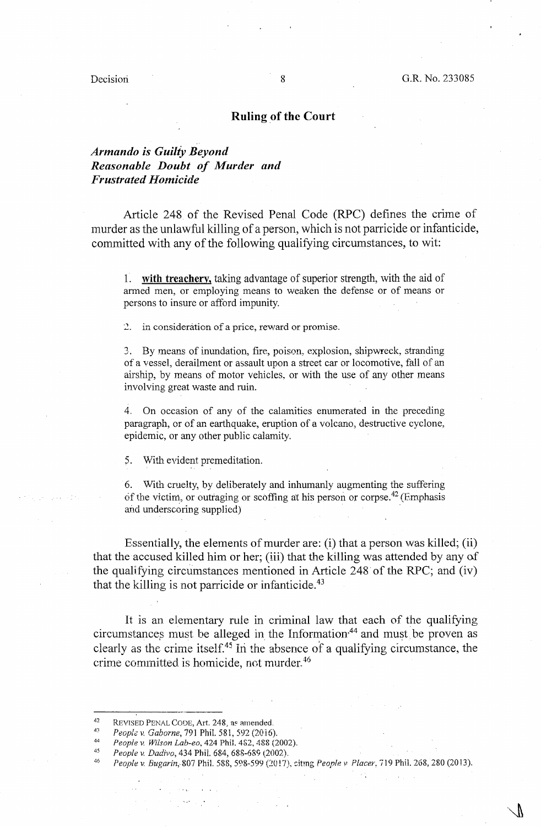Decision 8 G.R. No. 233085

# **Ruling \_of the Court**

# *Armando is Guiliy Beyond Reasonable Doubt of Murder and Frustrated Homicide*

Article 248 of the Revised Penal Code (RPC) defines the crime of murder as the unlawful killing of a person, which is not parricide or infanticide, committed with any of the following qualifying circumstances, to wit:

1. **with treachery,** taking advantage of superior strength, with the aid of armed men, or employing means to weaken the defense or of means or persons to insure or afford impunity.

2. in consideration of a price, reward or promise.

3. By means of inundation, fire, poison, explosion, shipwreck, stranding of a vessel, derailment or assault upon a street car or locomotive, fall of an airship, by means of motor vehicles, or with the use of any other means involving great waste and ruin.

4. On occasion of any of the calamities enumerated in the preceding paragraph, or of an earthquake, eruption of a volcano, destructive cyclone, epidemic, or any other public calamity.

5. With evident premeditation.

6. With cruelty, by deliberately and inhumanly augmenting the suffering of the victim, or outraging or scoffing at his person or corpse.<sup>42</sup> (Emphasis and underscoring supplied)

Essentially, the elements of murder are: (i) that a person was killed; (ii) that the accused killed him or her; (iii) that the killing was attended by any of the qualifying circumstances mentioned in Article 248 of the RPC; and  $(iv)$ that the killing is not parricide or infanticide. $43$ 

lt is an elementary rule in criminal law that each of the qualifying circumstances must be alleged in the Information,<sup>44</sup> and must be proven as clearly as the crime itself.<sup>45</sup> In the absence of a qualifying circumstance, the crime committed is homicide, not murder.<sup>46</sup>

<sup>42</sup>  REVISED PENAL CODE, Art. 248, as amended.

<sup>43</sup>  *People v. Gaborne,* 791 Phil. 581, 592 (2016).

<sup>44</sup>  *People v. Wilson Lab-ea,* 424 Phil. 462, 488 (2002).

<sup>45</sup>  People v. Dadivo, 434 Phil. 684, 688-689 (2002).

<sup>46</sup>  *People v. Bugarin,&07* Phil. 588, 598-599(2017), dtmg *People v Placer,* 719 Phil. 268, 280 (2013).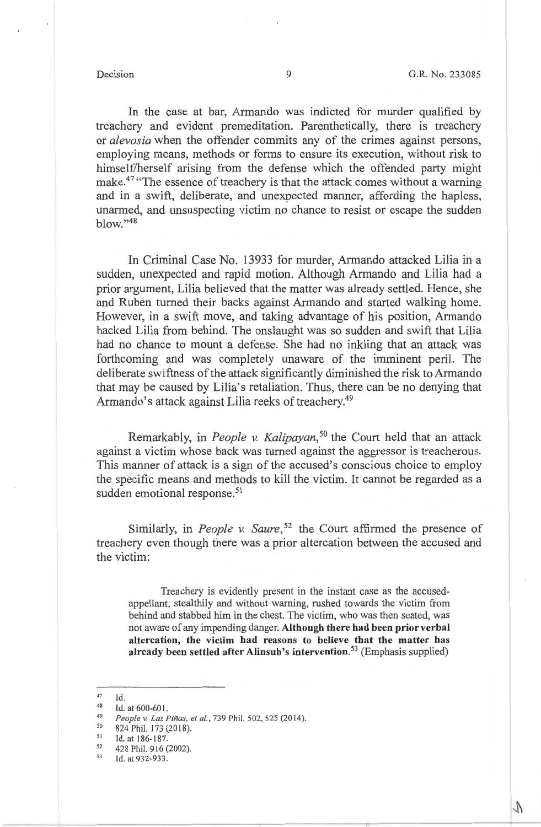In the case at bar, Armando was indicted for murder qualified by treachery and evident premeditation. Parenthetically, there is treachery or *alevosia* when the offender commits any of the crimes against persons, employing means, methods or forms to ensure its execution, without risk to himself/herself arising from the defense which the offended party might make.<sup>47</sup> "The essence of treachery is that the attack comes without a warning and in a swift, deliberate, and unexpected manner, affording the hapless, unarmed, and unsuspecting victim no chance to resist or escape the sudden blow."48

In Criminal Case No. 13933 for murder, Armando attacked Lilia in a sudden, unexpected and rapid motion. Although Armando and Lilia had a prior argument, Lilia believed that the matter was already settled. Hence, she and Ruben turned their backs against Armando and started walking home. However, in a swift move, and taking advantage of his position, Armando hacked Lilia from behind. The onslaught was so sudden and swift that Lilia had no chance to mount a defense. She had no inkling that an attack was forthcoming and was completely unaware of the imminent peril. The deliberate swiftness of the attack significantly diminished the risk to Armando that may be caused by Lilia's retaliation. Thus, there can be no denying that Armando's attack against Lilia reeks of treachery.<sup>49</sup>

Remarkably, in *People v. Kalipayan,* 50 the Court held that an attack against a victim whose back was turned against the aggressor is treacherous. This manner of attack is a sign of the accused's conscious choice to employ the specific means and methods to kill the victim. It cannot be regarded as a sudden emotional response.<sup>51</sup>

Similarly, in *People v. Saure*,<sup>52</sup> the Court affirmed the presence of treachery even though there was a prior altercation between the accused and the victim:

Treachery is evidently present in the instant case as the accusedappellant, stealthily and without warning, rushed towards the victim from behind and stabbed him in the chest. The victim, who was then seated, was not aware of any impending danger. **Although there had been prior verbal altercation, the victim had reasons to believe that the matter has already been settled after Alinsub's intervention. <sup>53</sup>**(Emphasis supplied)

<sup>47</sup>  Id.

<sup>48</sup> 

<sup>&</sup>lt;sup>48</sup> Id. at 600-601.<br> *People v. Las Piñas, et al.*, 739 Phil. 502, 525 (2014).<br>
<sup>50</sup> 824 Phil. 173 (2018).<br>
<sup>51</sup> Id. at 186 187.

 $51$  Id. at 186-187.<br>  $52$  428 Phil. 916 (2002).<br>
Id. at 932-933.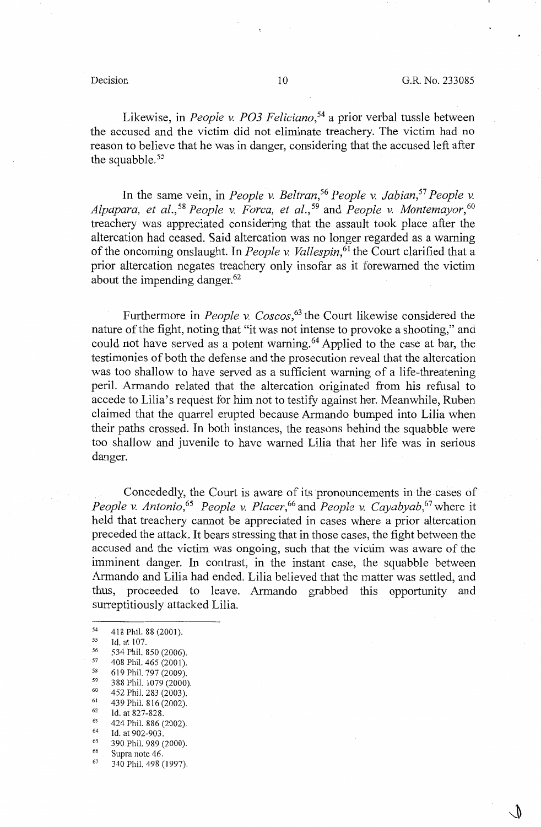Likewise, in *People v. PO3 Feliciano*,<sup>54</sup> a prior verbal tussle between the accused and the victim did not eliminate treachery. The victim had no reason to believe that he was in danger, considering that the accused left after the squabble. $55$ 

In the same vein, in *People v. Beltran*,<sup>56</sup> *People v. Jabian*,<sup>57</sup> *People v. Alpapara, et al.,* <sup>58</sup>*People v. Forca, et al.,* 59 and *People v. Montemayor,* <sup>60</sup> treachery was appreciated considering that the assault took place after the altercation had ceased. Said altercation was no longer regarded as a warning of the oncoming onslaught. In *People v. Vallespin*,<sup>61</sup> the Court clarified that a prior altercation negates treachery only insofar as it forewarned the victim about the impending danger. 62

Furthermore in *People v. Coscos*,<sup>63</sup> the Court likewise considered the nature of the fight, noting that "it was not intense to provoke a shooting," and could not have served as a potent warning. 64 Applied to the case at bar, the testimonies of both the defense and the prosecution reveal that the altercation was too shallow to have served as a sufficient warning of a life-threatening peril. Armando related that the altercation originated from his refusal to accede to Lilia's request for him not to testify against her. Meanwhile, Ruben claimed that the quarrel erupted because Armando bumped into Lilia when their paths crossed. In both instances, the reasons behind the squabble were too shallow and juvenile to have warned Lilia that her life was in serious danger.

Concededly, the Court is aware of its pronouncements in the cases of *People v. Antonio,*<sup>65</sup>*People v. Placer,*<sup>66</sup>and *People v. Cayabyab,*<sup>67</sup>where it held that treachery cannot be appreciated in cases where a prior altercation preceded the attack. It bears stressing that in those cases, the fight between the accused and the victim was ongoing, such that the victim was aware of the imminent danger. In contrast, in the instant case, the squabble between Armando and Lilia had ended. Lilia believed that the matter was settled, and thus, proceeded to leave. Armando grabbed this opportunity and surreptitiously attacked Lilia.

- <sup>54</sup> 418 Phil. 88 (2001).<br>
<sup>55</sup> 534 Phil. 850 (2006).<br>
<sup>57</sup> 408 Phil. 465 (2001).<br>
<sup>58</sup> 610 Phil. 707 (2000). 58 619 Phil. 797 (2009).<br>
59 388 Phil. 1079 (2000).<br>
60 452 Phil. 283 (2003).<br>
61 439 Phil. 816 (2002).<br>
62 63 424 Phil. 886 (2002).<br>
64 Id. at 902-903.<br>
65 390 Phil. 989 (2000).<br>
66 Supra note 46.
- 
- 
- $67$  340 Phil. 498 (1997).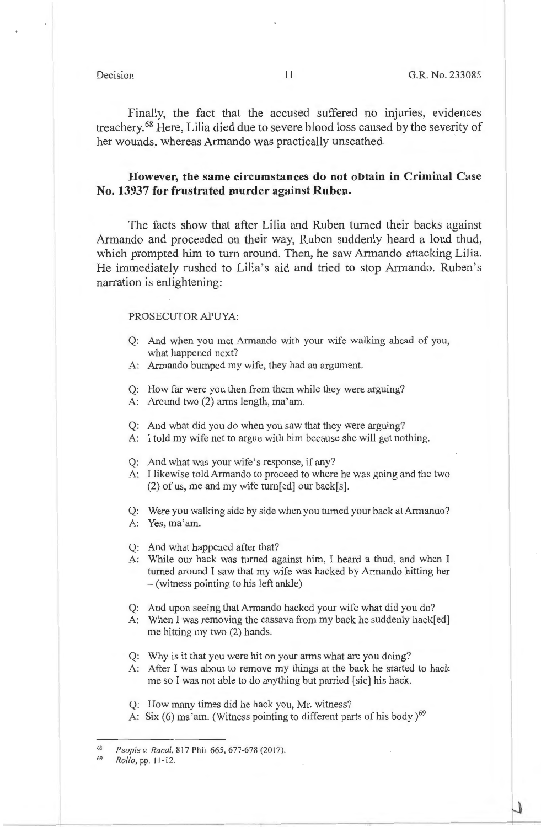Finally, the fact that the accused suffered no injuries, evidences treachery. 68 Here, Lilia died due to severe blood loss caused by the severity of her wounds, whereas Armando was practically unscathed.

# **However, the same circumstances do not obtain in Criminal Case No. 13937 for frustrated murder against Ruben.**

The facts show that after Lilia and Ruben turned their backs against Armando and proceeded on their way, Ruben suddenly heard a loud thud, which prompted him to turn around. Then, he saw Armando attacking Lilia. He immediately rushed to Lilia's aid and tried to stop Armando. Ruben's narration is enlightening:

### PROSECUTOR APUYA:

- Q: And when you met Armando with your wife walking ahead of you, what happened next?
- A: Armando bumped my wife, they had an argument.
- Q: How far were you then from them while they were arguing?
- A: Around two (2) arms length, ma'am.
- Q: And what did you do when you saw that they were arguing?
- A: I told my wife not to argue with him because she will get nothing.
- Q: And what was your wife's response, if any?
- A: I likewise told Armando to proceed to where he was going and the two  $(2)$  of us, me and my wife turn[ed] our back[s].

Q: Were you walking side by side when you turned your back at Armando? A: Yes, ma'am.

- Q: And what happened after that?
- A: While our back was turned against him, I heard a thud, and when I turned around I saw that my wife was hacked by Armando hitting her - ( witness pointing to his left ankle)
- Q: And upon seeing that Armando hacked your wife what did you do?
- A: When I was removing the cassava from my back he suddenly hack[ed] me hitting my two (2) hands.
- Q: Why is it that you were hit on your arms what are you doing?
- A: After I was about to remove my things at the back he started to hack me so I was not able to do anything but parried [sic] his hack.

Q: How many times did he hack you, Mr. witness?

A: Six  $(6)$  ma'am. (Witness pointing to different parts of his body.)<sup>69</sup>

68 *People v. Racal,* 817 Phil. 665, 677-678(2017).

<sup>69</sup>  *Rollo,* pp. 11-12.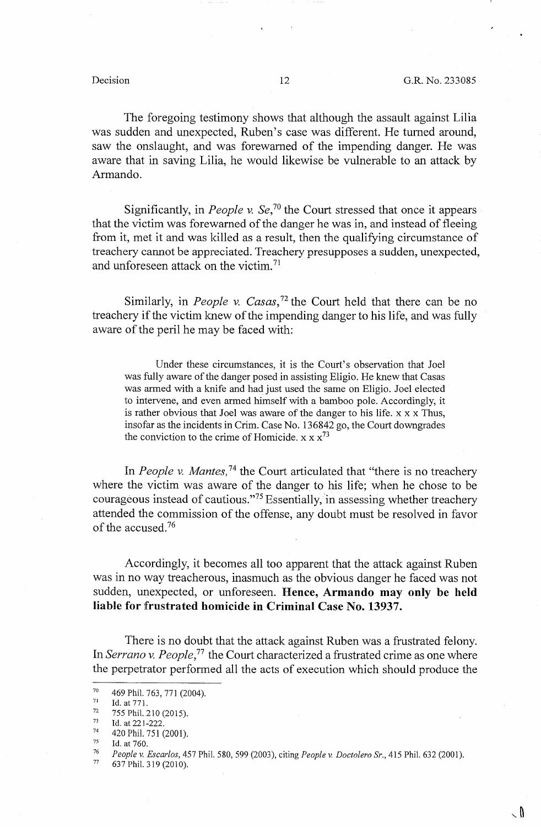∖ Տ

The foregoing testimony shows that although the assault against Lilia was sudden and unexpected, Ruben's case was different. He turned around, saw the onslaught, and was forewarned of the impending danger. He was aware that in saving Lilia, he would likewise be vulnerable to an attack by Armando.

Significantly, in *People v. Se*,<sup>70</sup> the Court stressed that once it appears that the victim was forewarned of the danger he was in, and instead of fleeing from it, met it and was killed as a result, then the qualifying circumstance of treachery cannot be appreciated. Treachery presupposes a sudden, unexpected, and unforeseen attack on the victim. 71

Similarly, in *People v. Casas*,<sup>72</sup> the Court held that there can be no treachery if the victim knew of the impending danger to his life, and was fully aware of the peril he may be faced with:

Under these circumstances, it is the Court's observation that Joel was fully aware of the danger posed in assisting Eligio. He knew that Casas was armed with a knife and had just used the same on Eligio. Joel elected to intervene, and even armed himself with a bamboo pole. Accordingly, it is rather obvious that Joel was aware of the danger to his life. x x x Thus, insofar as the incidents in Crim. Case No. 136842 go, the Court downgrades the conviction to the crime of Homicide.  $x \times x^{73}$ 

In *People v. Mantes,* 74 the Court articulated that "there is no treachery where the victim was aware of the danger to his life; when he chose to be courageous instead of cautious."<sup>75</sup> Essentially, in assessing whether treachery attended the commission of the offense, any doubt must be resolved in favor of the accused. 76

Accordingly, it becomes all too apparent that the attack against Ruben was in no way treacherous, inasmuch as the obvious danger he faced was not sudden, unexpected, or unforeseen. **Hence, Armando may only be held liable for frustrated homicide in Criminal Case No. 13937.** 

There is no doubt that the attack against Ruben was a frustrated felony. In *Serrano v. People*,<sup>77</sup> the Court characterized a frustrated crime as one where the perpetrator performed all the acts of execution which should produce the

<sup>70 469</sup> Phil. 763, 771 (2004).<br>
71 Id. at 771.<br>
72 755 Phil. 210 (2015).<br>
73 Id. at 221-222.<br>
74 420 Phil. 751 (2001).<br>
75 Id. at 760.<br>
76 Beepley, Feemles, 457 Ph

<sup>76</sup>*People v. Escarlos,* 457 Phil. 580, 599 (2003), citing *People v. Doctolero Sr.,* 415 Phil. 632 (2001). 77 637Phil.319(2010).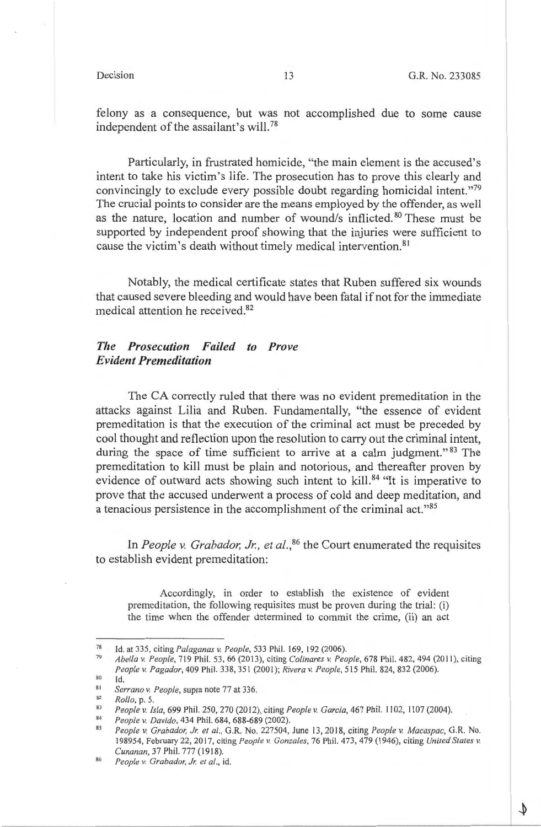felony as a consequence, but was not accomplished due to some cause independent of the assailant's will. 78

Particularly, in frustrated homicide, "the main element is the accused's intent to take his victim's life. The prosecution has to prove this clearly and convincingly to exclude every possible doubt regarding homicidal intent."79 The crucial points to consider are the means employed by the offender, as well as the nature, location and number of wound/s inflicted. 80 These must be supported by independent proof showing that the injuries were sufficient to cause the victim's death without timely medical intervention. <sup>81</sup>

Notably, the medical certificate states that Ruben suffered six wounds that caused severe bleeding and would have been fatal if not for the immediate medical attention he received. <sup>82</sup>

# *The Prosecution Failed to Prove Evident Premeditation*

The CA correctly ruled that there was no evident premeditation in the attacks against Lilia and Ruben. Fundamentally, "the essence of evident premeditation is that the execution of the criminal act must be preceded by cool thought and reflection upon the resolution to carry out the criminal intent, during the space of time sufficient to arrive at a calm judgment."<sup>83</sup> The premeditation to kill must be plain and notorious, and thereafter proven by evidence of outward acts showing such intent to kill.<sup>84</sup> "It is imperative to prove that the accused underwent a process of cold and deep meditation, and a tenacious persistence in the accomplishment of the criminal act."85

In *People v. Grabador, Jr., et al.*,<sup>86</sup> the Court enumerated the requisites to establish evident premeditation:

Accordingly, in order to establish the existence of evident premeditation, the following requisites must be proven during the trial: (i) the time when the offender determined to commit the crime, (ii) an act

<sup>78</sup>  Id. at 335, citing *Palaganas v. People,* 533 Phil. 169, 192 (2006).

<sup>79</sup>  80 *Abella v. People,* 719 Phil. 53, 66 (20 13), citing *Colinares v. People,* 678 Phil. 482,494 (2011), citing People v. Pagador, 409 Phil. 338, 351 (2001); *Rivera v. People*, 515 Phil. 824, 832 (2006). Id.

<sup>81</sup> 

<sup>82</sup>  *Serrano v. People,* supra note 77 at 336.

*Rollo,* p. 5.

<sup>83</sup>  *People v. Isla,* 699 Phil. 250, 270(20 12), citing *People v. Garcia,* 467 Phil. 1102, 1107 (2004).

<sup>84</sup>  *People v. Davida,* 434 Phil. 684, 688-689 (2002).

<sup>85</sup>  *People v. Grabador, Jr. et al., G.R. No. 227504, June 13, 2018, citing People v. Macaspac, G.R. No.* 198954, February 22, 2017, citing *People v. Gonzales,* 76 Phil. 473, 479 (1946), citing *United States v. Cunanan,* 37 Phil. 777 ( 1918).

<sup>86</sup>  *People v. Grabador, Jr. et al., id.*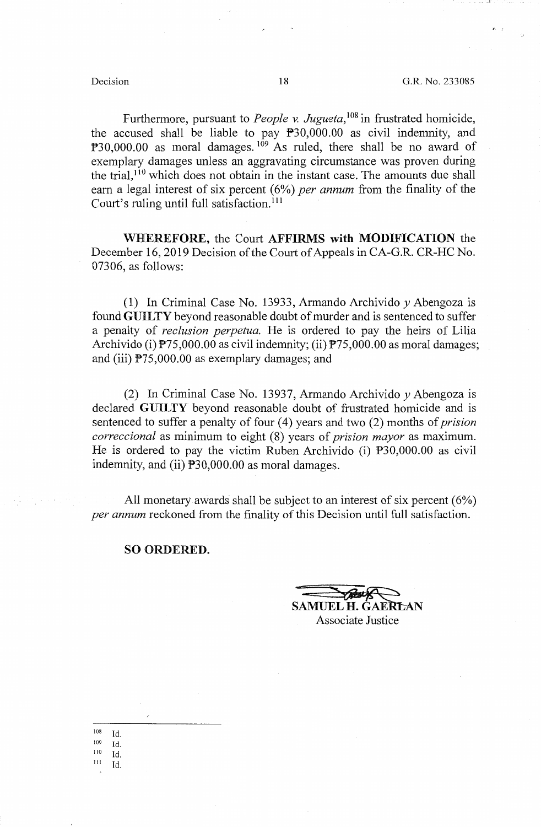Furthermore, pursuant to *People* v. *Jugueta,* 108 in frustrated homicide, the accused shall be liable to pay P30,000.00 as civil indemnity, and  $P30,000.00$  as moral damages.  $109$  As ruled, there shall be no award of exemplary damages unless an aggravating circumstance was proven during the trial, 110 which does not obtain in the instant case. The amounts due shall earn a legal interest of six percent (6%) *per annum* from the finality of the Court's ruling until full satisfaction.<sup>111</sup>

**WHEREFORE,** the Court **AFFIRMS with MODIFICATION** the December 16, 2019 Decision of the Court of Appeals in CA-G.R. CR-HC No. 07306, as follows:

(1) In Criminal Case No. 13933, Armando Archivido *y* Abengoza is found **GUILTY** beyond reasonable doubt of murder and is sentenced to suffer a penalty of *reclusion perpetua.* He is ordered to pay the heirs of Lilia Archivido (i)  $\overline{P}$ 75,000.00 as civil indemnity; (ii)  $\overline{P}$ 75,000.00 as moral damages; and (iii) P75,000.00 as exemplary damages; and

(2) In Criminal Case No. 13937, Armando Archivido *y* Abengoza is declared **GUILTY** beyond reasonable doubt of frustrated homicide and is sentenced to suffer a penalty of four (4) years and two (2) months of *prision correccional* as minimum to eight (8) years of *prision mayor* as maximum. He is ordered to pay the victim Ruben Archivido (i) P30,000.00 as civil indemnity, and (ii) P30,000.00 as moral damages.

All monetary awards shall be subject to an interest of six percent  $(6\%)$ *per annum* reckoned from the finality of this Decision until full satisfaction.

### **SO ORDERED.**

SAMUEL H. GAERLAN AMUEL H. GAERLAN Associate Justice

10s Id.  $109$  Id. 110 Id.  $111$  Id.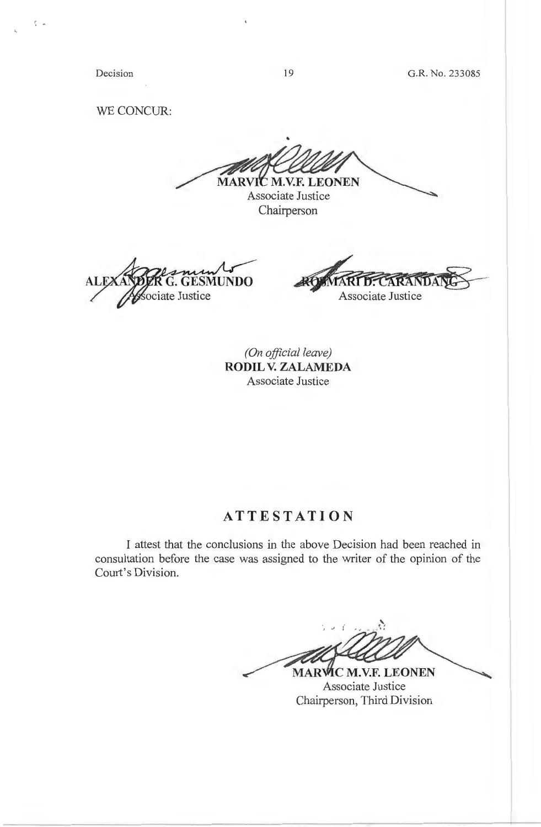Decision

*(*  . ~

19

G.R. No. 233085

WE CONCUR:

MARVIC M.V.F. LEONEN Associate Justice

Chairperson

ALI **GESMUNDO** ociate Justice

**ARANDA Associate Justice** 

*(On official leave)*  **RODIL V. ZALAMEDA**  Associate Justice

# **ATTESTATION**

I attest that the conclusions in the above Decision had been reached in consultation before the case was assigned to the writer of the opinion of the Court's Division.

**MARVIC M.V.F. LEONEN** 

Associate Justice Chairperson, Third Division